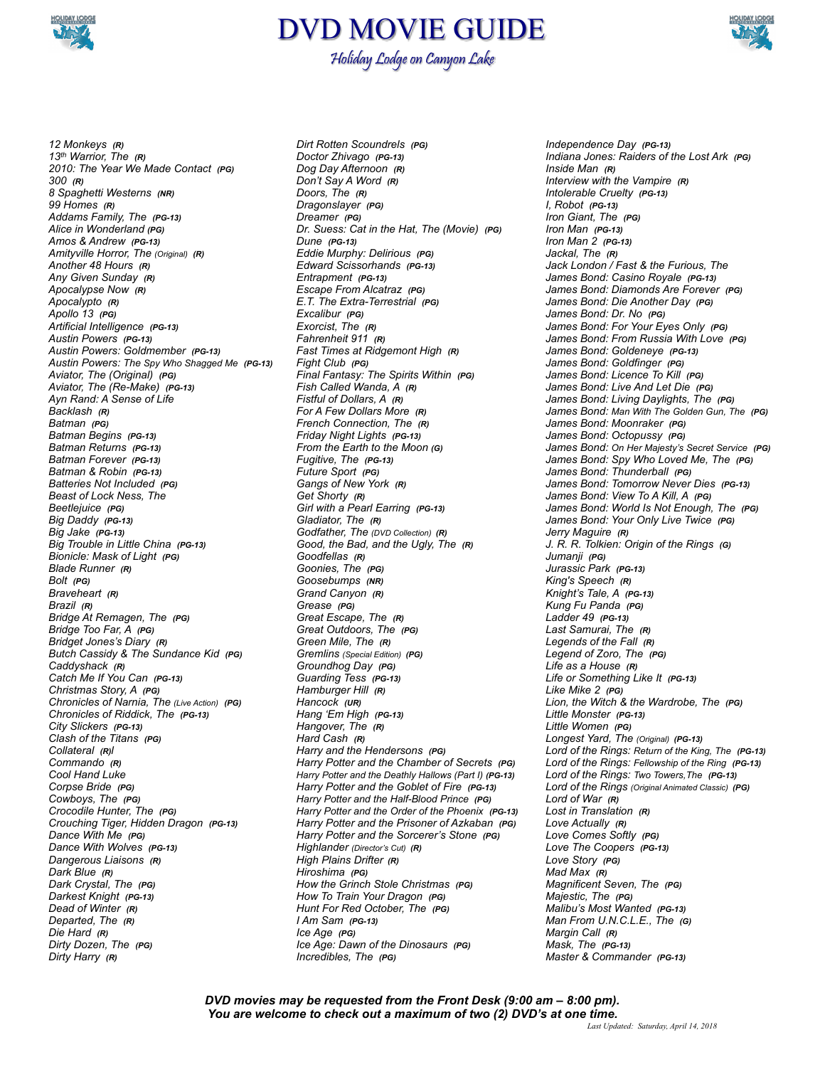

## DVD MOVIE GUIDE Holiday Lodge on Canyon Lake



*12 Monkeys (R) 13th Warrior, The (R) 2010: The Year We Made Contact (PG) 300 (R) 8 Spaghetti Westerns (NR) 99 Homes (R) Addams Family, The (PG-13) Alice in Wonderland (PG) Amos & Andrew (PG-13) Amityville Horror, The (Original) (R) Another 48 Hours (R) Any Given Sunday (R) Apocalypse Now (R) Apocalypto (R) Apollo 13 (PG) Artificial Intelligence (PG-13) Austin Powers (PG-13) Austin Powers: Goldmember (PG-13) Austin Powers: The Spy Who Shagged Me (PG-13) Aviator, The (Original) (PG) Aviator, The (Re-Make) (PG-13) Ayn Rand: A Sense of Life Backlash (R) Batman (PG) Batman Begins (PG-13) Batman Returns (PG-13) Batman Forever (PG-13) Batman & Robin (PG-13) Batteries Not Included (PG) Beast of Lock Ness, The Beetlejuice (PG) Big Daddy (PG-13) Big Jake (PG-13) Big Trouble in Little China (PG-13) Bionicle: Mask of Light (PG) Blade Runner (R) Bolt (PG) Braveheart (R) Brazil (R) Bridge At Remagen, The (PG) Bridge Too Far, A (PG) Bridget Jones's Diary (R) Butch Cassidy & The Sundance Kid (PG) Caddyshack (R) Catch Me If You Can (PG-13) Christmas Story, A (PG) Chronicles of Narnia, The (Live Action) (PG) Chronicles of Riddick, The (PG-13) City Slickers (PG-13) Clash of the Titans (PG) Collateral (R)l Commando (R) Cool Hand Luke Corpse Bride (PG) Cowboys, The (PG) Crocodile Hunter, The (PG) Crouching Tiger, Hidden Dragon (PG-13) Dance With Me (PG) Dance With Wolves (PG-13) Dangerous Liaisons (R) Dark Blue (R) Dark Crystal, The (PG) Darkest Knight (PG-13) Dead of Winter (R) Departed, The (R) Die Hard (R) Dirty Dozen, The (PG) Dirty Harry (R)*

*Dirt Rotten Scoundrels (PG) Doctor Zhivago (PG-13) Dog Day Afternoon (R) Don't Say A Word (R) Doors, The (R) Dragonslayer (PG) Dreamer (PG) Dr. Suess: Cat in the Hat, The (Movie) (PG) Dune (PG-13) Eddie Murphy: Delirious (PG) Edward Scissorhands (PG-13) Entrapment (PG-13) Escape From Alcatraz (PG) E.T. The Extra-Terrestrial (PG) Excalibur (PG) Exorcist, The (R) Fahrenheit 911 (R) Fast Times at Ridgemont High (R) Fight Club (PG) Final Fantasy: The Spirits Within (PG) Fish Called Wanda, A (R) Fistful of Dollars, A (R) For A Few Dollars More (R) French Connection, The (R) Friday Night Lights (PG-13) From the Earth to the Moon (G) Fugitive, The (PG-13) Future Sport (PG) Gangs of New York (R) Get Shorty (R) Girl with a Pearl Earring (PG-13) Gladiator, The (R) Godfather, The (DVD Collection) (R) Good, the Bad, and the Ugly, The (R) Goodfellas (R) Goonies, The (PG) Goosebumps (NR) Grand Canyon (R) Grease (PG) Great Escape, The (R) Great Outdoors, The (PG) Green Mile, The (R) Gremlins (Special Edition) (PG) Groundhog Day (PG) Guarding Tess (PG-13) Hamburger Hill (R) Hancock (UR) Hang 'Em High (PG-13) Hangover, The (R) Hard Cash (R) Harry and the Hendersons (PG) Harry Potter and the Chamber of Secrets (PG) Harry Potter and the Deathly Hallows (Part I) (PG-13) Harry Potter and the Goblet of Fire (PG-13) Harry Potter and the Half-Blood Prince (PG) Harry Potter and the Order of the Phoenix (PG-13) Harry Potter and the Prisoner of Azkaban (PG) Harry Potter and the Sorcerer's Stone (PG) Highlander (Director's Cut) (R) High Plains Drifter (R) Hiroshima (PG) How the Grinch Stole Christmas (PG) How To Train Your Dragon (PG) Hunt For Red October, The (PG) I Am Sam (PG-13) Ice Age (PG) Ice Age: Dawn of the Dinosaurs (PG) Incredibles, The (PG)*

*Independence Day (PG-13) Indiana Jones: Raiders of the Lost Ark (PG) Inside Man (R) Interview with the Vampire (R) Intolerable Cruelty (PG-13) I, Robot (PG-13) Iron Giant, The (PG) Iron Man (PG-13) Iron Man 2 (PG-13) Jackal, The (R) Jack London / Fast & the Furious, The James Bond: Casino Royale (PG-13) James Bond: Diamonds Are Forever (PG) James Bond: Die Another Day (PG) James Bond: Dr. No (PG) James Bond: For Your Eyes Only (PG) James Bond: From Russia With Love (PG) James Bond: Goldeneye (PG-13) James Bond: Goldfinger (PG) James Bond: Licence To Kill (PG) James Bond: Live And Let Die (PG) James Bond: Living Daylights, The (PG) James Bond: Man With The Golden Gun, The (PG) James Bond: Moonraker (PG) James Bond: Octopussy (PG) James Bond: On Her Majesty's Secret Service (PG) James Bond: Spy Who Loved Me, The (PG) James Bond: Thunderball (PG) James Bond: Tomorrow Never Dies (PG-13) James Bond: View To A Kill, A (PG) James Bond: World Is Not Enough, The (PG) James Bond: Your Only Live Twice (PG) Jerry Maguire (R) J. R. R. Tolkien: Origin of the Rings (G) Jumanji (PG) Jurassic Park (PG-13) King's Speech (R) Knight's Tale, A (PG-13) Kung Fu Panda (PG) Ladder 49 (PG-13) Last Samurai, The (R) Legends of the Fall (R) Legend of Zoro, The (PG) Life as a House (R) Life or Something Like It (PG-13) Like Mike 2 (PG) Lion, the Witch & the Wardrobe, The (PG) Little Monster (PG-13) Little Women (PG) Longest Yard, The (Original) (PG-13) Lord of the Rings: Return of the King, The (PG-13) Lord of the Rings: Fellowship of the Ring (PG-13) Lord of the Rings: Two Towers,The (PG-13) Lord of the Rings (Original Animated Classic) (PG) Lord of War (R) Lost in Translation (R) Love Actually (R) Love Comes Softly (PG) Love The Coopers (PG-13) Love Story (PG) Mad Max (R) Magnificent Seven, The (PG) Majestic, The (PG) Malibu's Most Wanted (PG-13) Man From U.N.C.L.E., The (G) Margin Call (R) Mask, The (PG-13) Master & Commander (PG-13)*

*DVD movies may be requested from the Front Desk (9:00 am – 8:00 pm). You are welcome to check out a maximum of two (2) DVD's at one time.*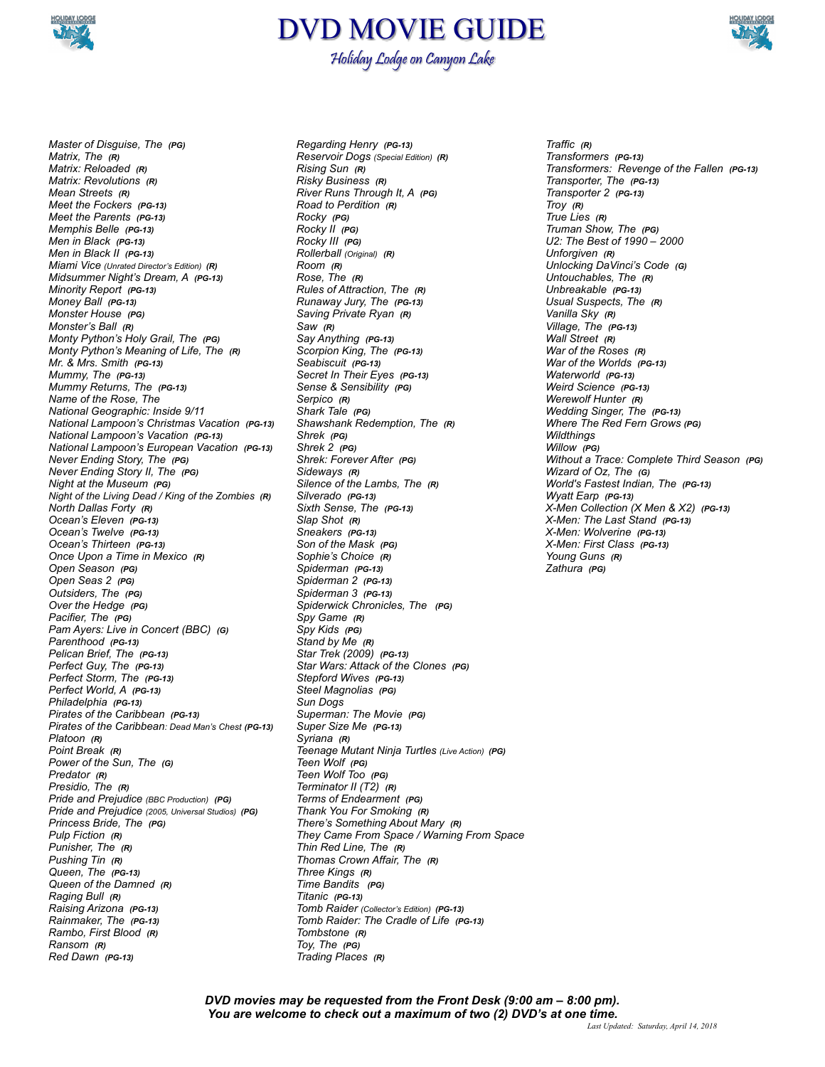

## DVD MOVIE GUIDE Holiday Lodge on Canyon Lake



*Master of Disguise, The (PG) Matrix, The (R) Matrix: Reloaded (R) Matrix: Revolutions (R) Mean Streets (R) Meet the Fockers (PG-13) Meet the Parents (PG-13) Memphis Belle (PG-13) Men in Black (PG-13) Men in Black II (PG-13) Miami Vice (Unrated Director's Edition) (R) Midsummer Night's Dream, A (PG-13) Minority Report (PG-13) Money Ball (PG-13) Monster House (PG) Monster's Ball (R) Monty Python's Holy Grail, The (PG) Monty Python's Meaning of Life, The (R) Mr. & Mrs. Smith (PG-13) Mummy, The (PG-13) Mummy Returns, The (PG-13) Name of the Rose, The National Geographic: Inside 9/11 National Lampoon's Christmas Vacation (PG-13) National Lampoon's Vacation (PG-13) National Lampoon's European Vacation (PG-13) Never Ending Story, The (PG) Never Ending Story II, The (PG) Night at the Museum (PG) Night of the Living Dead / King of the Zombies (R) North Dallas Forty (R) Ocean's Eleven (PG-13) Ocean's Twelve (PG-13) Ocean's Thirteen (PG-13) Once Upon a Time in Mexico (R) Open Season (PG) Open Seas 2 (PG) Outsiders, The (PG) Over the Hedge (PG) Pacifier, The (PG) Pam Ayers: Live in Concert (BBC) (G) Parenthood (PG-13) Pelican Brief, The (PG-13) Perfect Guy, The (PG-13) Perfect Storm, The (PG-13) Perfect World, A (PG-13) Philadelphia (PG-13) Pirates of the Caribbean (PG-13) Pirates of the Caribbean: Dead Man's Chest (PG-13) Platoon (R) Point Break (R) Power of the Sun, The (G) Predator (R) Presidio, The (R) Pride and Prejudice (BBC Production) (PG) Pride and Prejudice (2005, Universal Studios) (PG) Princess Bride, The (PG) Pulp Fiction (R) Punisher, The (R) Pushing Tin (R) Queen, The (PG-13) Queen of the Damned (R) Raging Bull (R) Raising Arizona (PG-13) Rainmaker, The (PG-13) Rambo, First Blood (R) Ransom (R) Red Dawn (PG-13)*

*Regarding Henry (PG-13) Reservoir Dogs (Special Edition) (R) Rising Sun (R) Risky Business (R) River Runs Through It, A (PG) Road to Perdition (R) Rocky (PG) Rocky II (PG) Rocky III (PG) Rollerball (Original) (R) Room (R) Rose, The (R) Rules of Attraction, The (R) Runaway Jury, The (PG-13) Saving Private Ryan (R) Saw (R) Say Anything (PG-13) Scorpion King, The (PG-13) Seabiscuit (PG-13) Secret In Their Eyes (PG-13) Sense & Sensibility (PG) Serpico (R) Shark Tale (PG) Shawshank Redemption, The (R) Shrek (PG) Shrek 2 (PG) Shrek: Forever After (PG) Sideways (R) Silence of the Lambs, The (R) Silverado (PG-13) Sixth Sense, The (PG-13) Slap Shot (R) Sneakers (PG-13) Son of the Mask (PG) Sophie's Choice (R) Spiderman (PG-13) Spiderman 2 (PG-13) Spiderman 3 (PG-13) Spiderwick Chronicles, The (PG) Spy Game (R) Spy Kids (PG) Stand by Me (R) Star Trek (2009) (PG-13) Star Wars: Attack of the Clones (PG) Stepford Wives (PG-13) Steel Magnolias (PG) Sun Dogs Superman: The Movie (PG) Super Size Me (PG-13) Syriana (R) Teenage Mutant Ninja Turtles (Live Action) (PG) Teen Wolf (PG) Teen Wolf Too (PG) Terminator II (T2) (R) Terms of Endearment (PG) Thank You For Smoking (R) There's Something About Mary (R) They Came From Space / Warning From Space Thin Red Line, The (R) Thomas Crown Affair, The (R) Three Kings (R) Time Bandits (PG) Titanic (PG-13) Tomb Raider (Collector's Edition) (PG-13) Tomb Raider: The Cradle of Life (PG-13) Tombstone (R) Toy, The (PG) Trading Places (R)* 

*Traffic (R) Transformers (PG-13) Transformers: Revenge of the Fallen (PG-13) Transporter, The (PG-13) Transporter 2 (PG-13) Troy (R) True Lies (R) Truman Show, The (PG) U2: The Best of 1990 – 2000 Unforgiven (R) Unlocking DaVinci's Code (G) Untouchables, The (R) Unbreakable (PG-13) Usual Suspects, The (R) Vanilla Sky (R) Village, The (PG-13) Wall Street (R) War of the Roses (R) War of the Worlds (PG-13) Waterworld (PG-13) Weird Science (PG-13) Werewolf Hunter (R) Wedding Singer, The (PG-13) Where The Red Fern Grows (PG) Wildthings Willow (PG) Without a Trace: Complete Third Season (PG) Wizard of Oz, The (G) World's Fastest Indian, The (PG-13) Wyatt Earp (PG-13) X-Men Collection (X Men & X2) (PG-13) X-Men: The Last Stand (PG-13) X-Men: Wolverine (PG-13) X-Men: First Class (PG-13) Young Guns (R) Zathura (PG)* 

*DVD movies may be requested from the Front Desk (9:00 am – 8:00 pm). You are welcome to check out a maximum of two (2) DVD's at one time.*